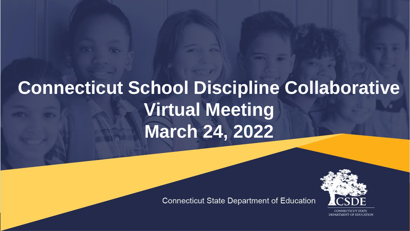## **Connecticut School Discipline Collaborative Virtual Meeting March 24, 2022**

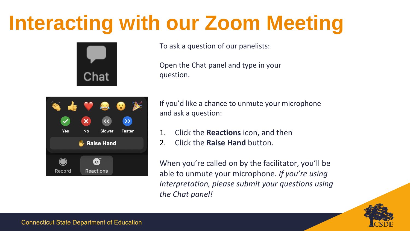## **Interacting with our Zoom Meeting**



To ask a question of our panelists:

Open the Chat panel and type in your question.



If you'd like a chance to unmute your microphone and ask a question:

- 1. Click the **Reactions** icon, and then
- 2. Click the **Raise Hand** button.

When you're called on by the facilitator, you'll be able to unmute your microphone. *If you're using Interpretation, please submit your questions using the Chat panel!*

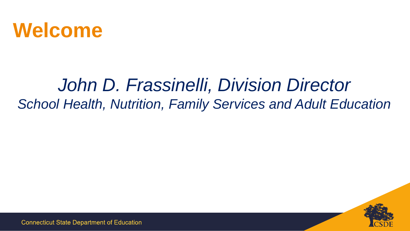

#### *John D. Frassinelli, Division Director School Health, Nutrition, Family Services and Adult Education*

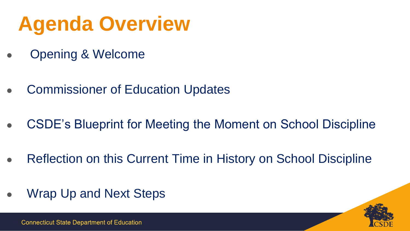## **Agenda Overview**

- Opening & Welcome
- **Commissioner of Education Updates**
- CSDE's Blueprint for Meeting the Moment on School Discipline
- Reflection on this Current Time in History on School Discipline
- Wrap Up and Next Steps

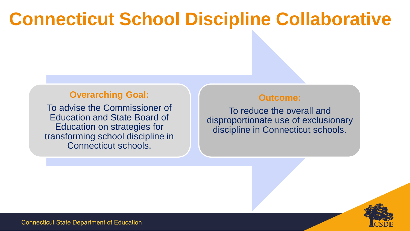#### **Connecticut School Discipline Collaborative**

#### **Overarching Goal:**

To advise the Commissioner of Education and State Board of Education on strategies for transforming school discipline in Connecticut schools.

#### **Outcome:**

To reduce the overall and disproportionate use of exclusionary discipline in Connecticut schools.

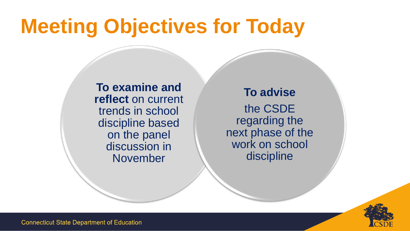## **Meeting Objectives for Today**

**To examine and reflect** on current trends in school discipline based on the panel discussion in November

**To advise** the CSDE regarding the next phase of the work on school discipline

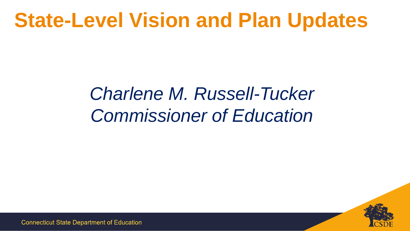## **State-Level Vision and Plan Updates**

### *Charlene M. Russell-Tucker Commissioner of Education*

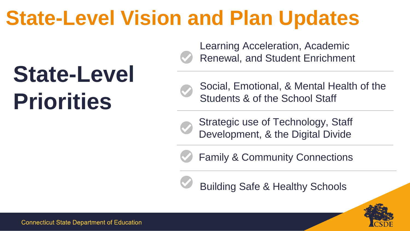## **State-Level Vision and Plan Updates**

# **State-Level Priorities**

Learning Acceleration, Academic Renewal, and Student Enrichment



Social, Emotional, & Mental Health of the Students & of the School Staff

Strategic use of Technology, Staff Development, & the Digital Divide

Family & Community Connections



Building Safe & Healthy Schools

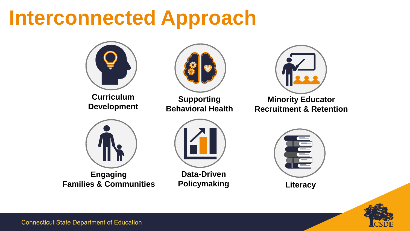## **Interconnected Approach**



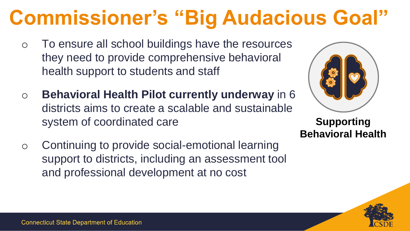## **Commissioner's "Big Audacious Goal"**

- o To ensure all school buildings have the resources they need to provide comprehensive behavioral health support to students and staff
- o **Behavioral Health Pilot currently underway** in 6 districts aims to create a scalable and sustainable system of coordinated care
- o Continuing to provide social-emotional learning support to districts, including an assessment tool and professional development at no cost



**Supporting Behavioral Health**

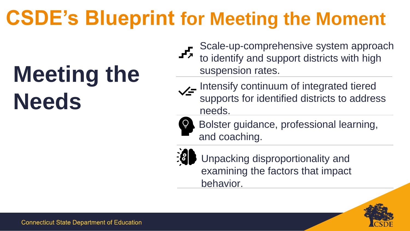## **CSDE's Blueprint for Meeting the Moment**

# **Meeting the Needs**

- Scale-up-comprehensive system approach to identify and support districts with high suspension rates.
- Intensify continuum of integrated tiered supports for identified districts to address needs.



Bolster guidance, professional learning, and coaching.



Unpacking disproportionality and examining the factors that impact behavior.

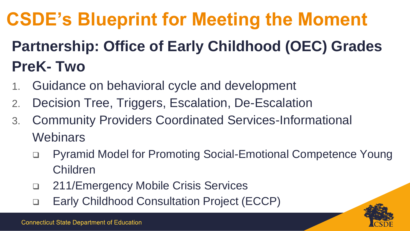## **CSDE's Blueprint for Meeting the Moment**

#### **Partnership: Office of Early Childhood (OEC) Grades PreK- Two**

- 1. Guidance on behavioral cycle and development
- 2. Decision Tree, Triggers, Escalation, De-Escalation
- 3. Community Providers Coordinated Services-Informational **Webinars** 
	- ❑ Pyramid Model for Promoting Social-Emotional Competence Young Children
	- ❑ 211/Emergency Mobile Crisis Services
	- ❑ Early Childhood Consultation Project (ECCP)

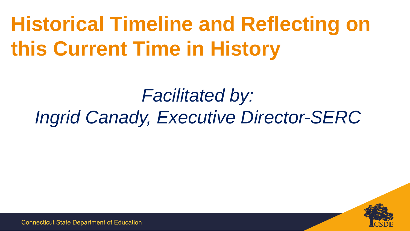## **Historical Timeline and Reflecting on this Current Time in History**

### *Facilitated by: Ingrid Canady, Executive Director-SERC*

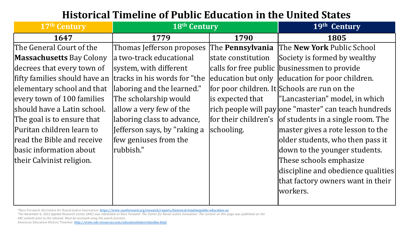#### **Historical Timeline of Public Education in the United States**

| 17th Century                    | 18th Century                 |                    | 19th Century                                               |
|---------------------------------|------------------------------|--------------------|------------------------------------------------------------|
| 1647                            | 1779                         | 1790               | 1805                                                       |
| The General Court of the        | Thomas Jefferson proposes    | The Pennsylvania   | The New York Public School                                 |
| <b>Massachusetts Bay Colony</b> | la two-track educational     | state constitution | Society is formed by wealthy                               |
| decrees that every town of      | system, with different       |                    | calls for free public businessmen to provide               |
| fifty families should have an   | tracks in his words for "the |                    | education but only education for poor children.            |
| elementary school and that      | laboring and the learned."   |                    | for poor children. It Schools are run on the               |
| every town of 100 families      | The scholarship would        | is expected that   | "Lancasterian" model, in which                             |
| should have a Latin school.     | allow a very few of the      |                    | rich people will pay one "master" can teach hundreds       |
| The goal is to ensure that      | laboring class to advance,   |                    | for their children's $ $ of students in a single room. The |
| Puritan children learn to       | Jefferson says, by "raking a | schooling.         | master gives a rote lesson to the                          |
| read the Bible and receive      | few geniuses from the        |                    | older students, who then pass it                           |
| basic information about         | rubbish."                    |                    | down to the younger students.                              |
| their Calvinist religion.       |                              |                    | These schools emphasize                                    |
|                                 |                              |                    | discipline and obedience qualities                         |
|                                 |                              |                    | that factory owners want in their                          |
|                                 |                              |                    | workers.                                                   |

\*Race Forward: the Center for Racial Justice Innovation- <https://www.raceforward.org/research/reports/historical-timelinepublic-education-us>

\*On November 6, 2013 Applied Research Center (ARC) was rebranded as Race Forward: The Center for Racial Justice Innovation. The content on this page was published on the *ARC website prior to the rebrand. Must be accessed using the search function.*

American Education History Timeline-<http://www.eds-resources.com/educationhistorytimeline.html>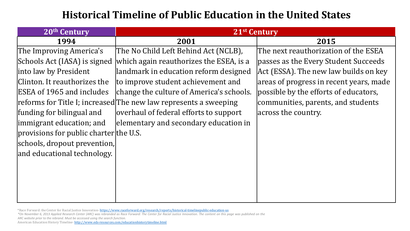#### **Historical Timeline of Public Education in the United States**

| 20th Century                           | 21 <sup>st</sup> Century                                         |                                         |  |
|----------------------------------------|------------------------------------------------------------------|-----------------------------------------|--|
| 1994                                   | 2001                                                             | 2015                                    |  |
| The Improving America's                | The No Child Left Behind Act (NCLB),                             | The next reauthorization of the ESEA    |  |
| Schools Act (IASA) is signed           | which again reauthorizes the ESEA, is a                          | passes as the Every Student Succeeds    |  |
| into law by President                  | landmark in education reform designed                            | Act (ESSA). The new law builds on key   |  |
| Clinton. It reauthorizes the           | to improve student achievement and                               | areas of progress in recent years, made |  |
| ESEA of 1965 and includes              | change the culture of America's schools.                         | possible by the efforts of educators,   |  |
|                                        | reforms for Title I; increased The new law represents a sweeping | communities, parents, and students      |  |
| funding for bilingual and              | overhaul of federal efforts to support                           | across the country.                     |  |
| immigrant education; and               | elementary and secondary education in                            |                                         |  |
| provisions for public charter the U.S. |                                                                  |                                         |  |
| schools, dropout prevention,           |                                                                  |                                         |  |
| and educational technology.            |                                                                  |                                         |  |
|                                        |                                                                  |                                         |  |
|                                        |                                                                  |                                         |  |
|                                        |                                                                  |                                         |  |
|                                        |                                                                  |                                         |  |

<sup>\*</sup>Race Forward: the Center for Racial Justice Innovation- <https://www.raceforward.org/research/reports/historical-timelinepublic-education-us>

<sup>\*</sup>On November 6, 2013 Applied Research Center (ARC) was rebranded as Race Forward: The Center for Racial Justice Innovation. The content on this page was published on the *ARC website prior to the rebrand. Must be accessed using the search function.*

American Education History Timeline- <http://www.eds-resources.com/educationhistorytimeline.html>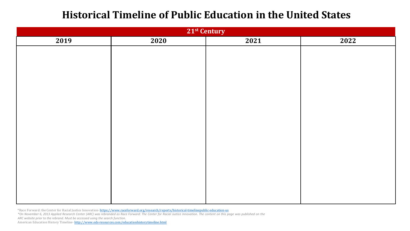#### **Historical Timeline of Public Education in the United States**

| 21 <sup>st</sup> Century |      |      |      |  |  |
|--------------------------|------|------|------|--|--|
| 2019                     | 2020 | 2021 | 2022 |  |  |
|                          |      |      |      |  |  |
|                          |      |      |      |  |  |
|                          |      |      |      |  |  |
|                          |      |      |      |  |  |
|                          |      |      |      |  |  |
|                          |      |      |      |  |  |
|                          |      |      |      |  |  |
|                          |      |      |      |  |  |
|                          |      |      |      |  |  |
|                          |      |      |      |  |  |
|                          |      |      |      |  |  |
|                          |      |      |      |  |  |
|                          |      |      |      |  |  |
|                          |      |      |      |  |  |
|                          |      |      |      |  |  |
|                          |      |      |      |  |  |
|                          |      |      |      |  |  |

\*Race Forward: the Center for Racial Justice Innovation- <https://www.raceforward.org/research/reports/historical-timelinepublic-education-us>

\*On November 6, 2013 Applied Research Center (ARC) was rebranded as Race Forward: The Center for Racial Justice Innovation. The content on this page was published on the *ARC website prior to the rebrand. Must be accessed using the search function.*

American Education History Timeline- <http://www.eds-resources.com/educationhistorytimeline.html>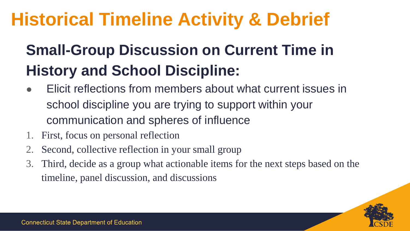### **Historical Timeline Activity & Debrief**

#### **Small-Group Discussion on Current Time in History and School Discipline:**

- Elicit reflections from members about what current issues in school discipline you are trying to support within your communication and spheres of influence
- 1. First, focus on personal reflection
- 2. Second, collective reflection in your small group
- 3. Third, decide as a group what actionable items for the next steps based on the timeline, panel discussion, and discussions